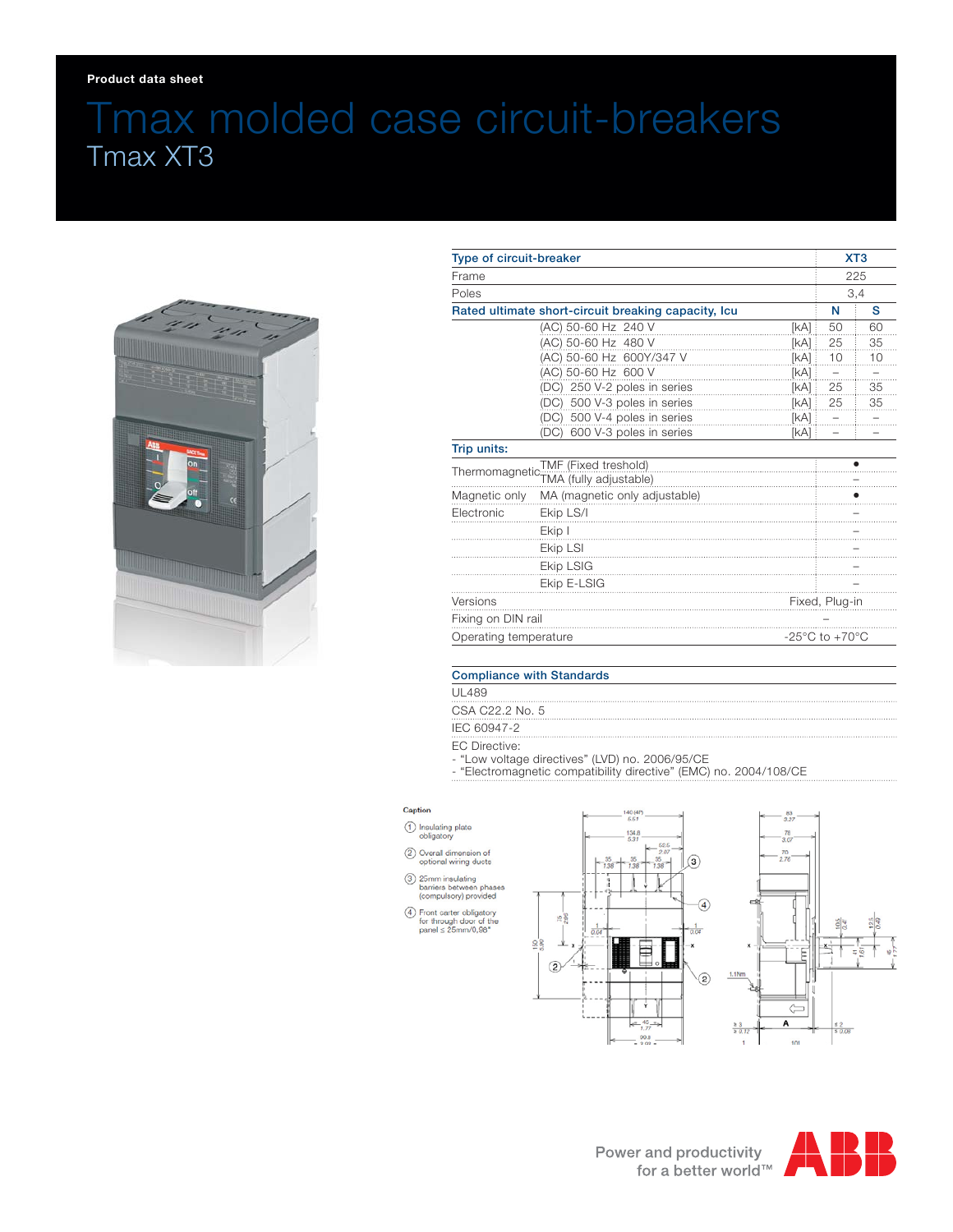# Tmax molded case circuit-breakers Tmax XT3



| Type of circuit-breaker                                               |                                 |                                    | XT <sub>3</sub><br>225<br>3,4 |      |
|-----------------------------------------------------------------------|---------------------------------|------------------------------------|-------------------------------|------|
| Frame<br>Poles<br>Rated ultimate short-circuit breaking capacity, Icu |                                 |                                    |                               |      |
|                                                                       |                                 | N                                  |                               |      |
|                                                                       |                                 |                                    | (AC) 50-60 Hz 240 V           | [KA] |
|                                                                       | (AC) 50-60 Hz 480 V             | [kA] i                             | 25                            | 35   |
|                                                                       | (AC) 50-60 Hz 600Y/347 V        | [kA]                               | 10                            | 10   |
|                                                                       | (AC) 50-60 Hz 600 V             | [kA]                               |                               |      |
|                                                                       | (DC) 250 V-2 poles in series    | [kA] :                             | 25                            | 35   |
|                                                                       | 500 V-3 poles in series<br>(DC) | [kA]                               | 25                            | 35   |
|                                                                       | (DC) 500 V-4 poles in series    | [kA]                               |                               |      |
|                                                                       | 600 V-3 poles in series<br>(DC) | [kA] :                             |                               |      |
| Trip units:                                                           |                                 |                                    |                               |      |
| TMF (Fixed treshold)                                                  |                                 |                                    |                               |      |
|                                                                       |                                 |                                    |                               |      |
| Magnetic only                                                         | MA (magnetic only adjustable)   |                                    |                               |      |
| Electronic                                                            | Ekip LS/I                       |                                    |                               |      |
|                                                                       | Ekip I                          |                                    |                               |      |
|                                                                       | Ekip LSI                        |                                    |                               |      |
|                                                                       | Ekip LSIG                       |                                    |                               |      |
|                                                                       | Ekip E-LSIG                     |                                    |                               |      |
| Versions                                                              |                                 | Fixed, Plug-in                     |                               |      |
| Fixing on DIN rail                                                    |                                 |                                    |                               |      |
| Operating temperature                                                 |                                 | $-25^{\circ}$ C to $+70^{\circ}$ C |                               |      |

### Compliance with Standards

- UL489
- CSA C22.2 No. 5
- IEC 60947-2
- EC Directive:
- "Low voltage directives" (LVD) no. 2006/95/CE
- "Electromagnetic compatibility directive" (EMC) no. 2004/108/CE

#### Caption

- 1 Insulating plate
- 2 Overall dimension of<br>optional wiring ducts
- 3 25mm insulating<br>barriers between phases<br>(compulsory) provided
- $\textcircled{4}$  Front carter obligatory<br>for through door of the<br>panel ≤ 25mm/0,98°
-